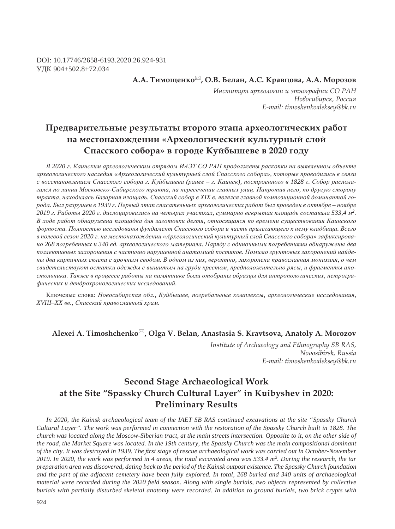DOI: 10.17746/2658-6193.2020.26.924-931 ɍȾɄ 904+502.8+72.034

**Ǯ.Ǯ. ȀȖȚȜȧȓțȘȜ , Ǽ.ǰ. ǯȓșȎț, Ǯ.ǿ. ǸȞȎȐȤȜȐȎ, Ǯ.Ǯ. ǺȜȞȜȕȜȐ**

Институт археологии и этнографии СО РАН  $H$ овосибирск, Россия *E-mail: timoshenkoaleksey@bk.ru*

## **ǽȞȓȒȐȎȞȖȠȓșȪțȩȓ ȞȓȕȡșȪȠȎȠȩ ȐȠȜȞȜȑȜ ȫȠȎȝȎ ȎȞȣȓȜșȜȑȖȥȓȟȘȖȣ ȞȎȏȜȠ па местонахождении «Археологический культурный слой ǿȝȎȟȟȘȜȑȜ ȟȜȏȜȞȎ» Ȑ ȑȜȞȜȒȓ ǸȡȗȏȩȦȓȐȓ Ȑ 2020 ȑȜȒȡ**

 $B$  2020 г. Каинским археологическим отрядом ИАЭТ СО РАН продолжены раскопки на выявленном объекте археологического наследия «Археологический культурный слой Спасского собора», которые проводились в связи с восстановлением Спасского собора г. Куйбышева (ранее – г. Каинск), построенного в 1828 г. Собор располагался по линии Московско-Сибирского тракта, на пересечении главных улиц. Напротив него, по другую сторону тракта, находилась Базарная площадь. Спасский собор в XIX в. являлся главной композиционной доминантой города. Был разрушен в 1939 г. Первый этап спасательных археологических работ был проведен в октябре – ноябре 2019 г. Работы 2020 г. дислоцировались на четырех участках, суммарно вскрытая площадь составила 533,4 м<sup>2</sup>. В ходе работ обнаружена площадка для заготовки дегтя, относящаяся ко времени существования Каинского  $\phi$ юрпоста. Полностью исследованы фундамент Спасского собора и часть прилегающего к нему кладбища. Всего в полевой сезон 2020 г. на местонахождении «Археологический культурный слой Спасского собора» зафиксировано 268 погребенных и 340 ед. археологического материала. Наряду с одиночными погребениями обнаружены два коллективных захоронения с частично нарушенной анатомией костяков. Помимо грунтовых захоронений найдены два кирпичных склепа с арочным сводом. В одном из них, вероятно, захоронена православная монахиня, о чем свидетельствуют остатки одежды с вышитым на груди крестом, предположительно рясы, и фрагменты апостольника. Также в процессе работы на памятнике были отобраны образцы для антропологических, петрогра- $\phi$ ических и дендрохронологических исследований.

Ключевые слова: Новосибирская обл., Куйбышев, погребальные комплексы, археологические исследования,  $XVIII-XX$  вв., Спасский православный храм.

### **Alexei A. Timoshchenko , Olga V. Belan, Anastasia S. Kravtsova, Anatoly A. Morozov**

*Institute of Archaeology and Ethnography SB RAS, Novosibirsk, Russia E-mail: timoshenkoaleksey@bk.ru*

# **Second Stage Archaeological Work at the Site "Spassky Church Cultural Layer" in Kuibyshev in 2020: Preliminary Results**

*In 2020, the Kainsk archaeological team of the IAET SB RAS continued excavations at the site "Spassky Church Cultural Layer". The work was performed in connection with the restoration of the Spassky Church built in 1828. The church was located along the Moscow-Siberian tract, at the main streets intersection. Opposite to it, on the other side of the road, the Market Square was located. In the 19th century, the Spassky Church was the main compositional dominant*  of the city. It was destroyed in 1939. The first stage of rescue archaeological work was carried out in October-November *2019. In 2020, the work was performed in 4 areas, the total excavated area was 533.4 m2. During the research, the tar preparation area was discovered, dating back to the period of the Kainsk outpost existence. The Spassky Church foundation and the part of the adjacent cemetery have been fully explored. In total, 268 buried and 340 units of archaeological material were recorded during the 2020 field season. Along with single burials, two objects represented by collective burials with partially disturbed skeletal anatomy were recorded. In addition to ground burials, two brick crypts with*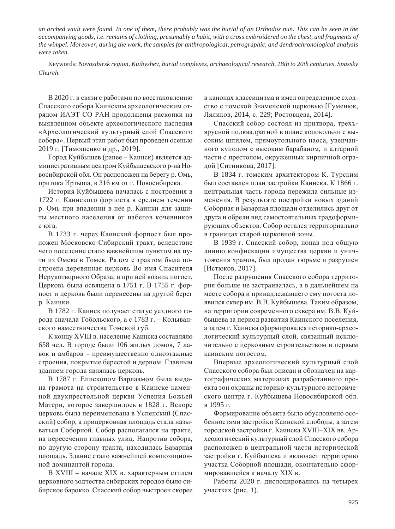*an arched vault were found. In one of them, there probably was the burial of an Orthodox nun. This can be seen in the accompanying goods, i.e. remains of clothing, presumably a habit, with a cross embroidered on the chest, and fragments of the wimpel. Moreover, during the work, the samples for anthropological, petrographic, and dendrochronological analysis were taken.*

Keywords: *Novosibirsk region, Kuibyshev, burial complexes, archaeological research, 18th to 20th centuries, Spassky Church.*

В 2020 г. в связи с работами по восстановлению Спасского собора Каинским археологическим отрядом ИАЭТ СО РАН продолжены раскопки на выявленном объекте археологического наследия «Археологический культурный слой Спасского собора». Первый этап работ был проведен осенью 2019 г. [Тимощенко и др., 2019].

Город Куйбышев (ранее – Каинск) является административным центром Куйбышевского р-на Новосибирской обл. Он расположен на берегу р. Омь, притока Иртыша, в 316 км от г. Новосибирска.

История Куйбышева началась с построения в 1722 г. Каинского форпоста в среднем течении р. Омь при впадении в нее р. Каинки для защиты местного населения от набегов кочевников с юга.

В 1733 г. через Каинский форпост был проложен Московско-Сибирский тракт, вследствие чего поселение стало важнейшим пунктом на пути из Омска в Томск. Рядом с трактом была построена деревянная церковь Во имя Спасителя Нерукотворного Образа, и при ней возник погост. Церковь была освящена в 1751 г. В 1755 г. форпост и церковь были перенесены на другой берег р. Каинки.

В 1782 г. Каинск получает статус уездного города сначала Тобольского, а с 1783 г. – Колыванского наместничества Томской губ.

К концу XVIII в. население Каинска составляло 658 чел. В городе было 106 жилых домов, 7 лавок и амбаров – преимущественно одноэтажные строения, покрытые берестой и дерном. Главным зданием города являлась церковь.

В 1787 г. Епископом Варлаамом была выдана грамота на строительство в Каинске каменной двухпрестольной церкви Успения Божьей Матери, которое завершилось в 1828 г. Вскоре церковь была переименована в Успенский (Спасский) собор, а прицерковная площадь стала называться Соборной. Собор располагался на тракте, на пересечении главных улиц. Напротив собора, по другую сторону тракта, находилась Базарная площадь. Здание стало важнейшей композиционной доминантой города.

В XVIII – начале XIX в. характерным стилем церковного зодчества сибирских городов было сибирское барокко. Спасский собор выстроен скорее в канонах классицизма и имел определенное сходство с томской Знаменской церковью [Гуменюк, Ляликов, 2014, с. 229; Ростовцева, 2014].

Спасский собор состоял из притвора, трехъярусной подквадратной в плане колокольни с высоким шпилем, прямоугольного наоса, увенчанного куполом с высоким барабаном, и алтарной части с престолом, окруженных кирпичной оградой [Ситникова, 2017].

В 1834 г. томским архитектором К. Турским был составлен план застройки Каинска. К 1866 г. центральная часть города пережила сильные изменения. В результате постройки новых зданий Соборная и Базарная площади отделились друг от друга и обрели вид самостоятельных градоформирующих объектов. Собор остался территориально в границах старой церковной зоны.

В 1939 г. Спасский собор, попав под общую линию конфискации имущества церкви и уничтожения храмов, был продан тюрьме и разрушен [Истюков, 2017].

После разрушения Спасского собора территория больше не застраивалась, а в дальнейшем на месте собора и принадлежавшего ему погоста появился сквер им. В.В. Куйбышева. Таким образом, на территории современного сквера им. В.В. Куйбышева за период развития Каинского поселения, а затем г. Каинска сформировался историко-археологический культурный слой, связанный исключительно с церковным строительством и первым каинским погостом.

Впервые археологический культурный слой Спасского собора был описан и обозначен на картографических материалах разработанного проекта зон охраны историко-культурного исторического центра г. Куйбышева Новосибирской обл. в 1995 г.

Формирование объекта было обусловлено особенностями застройки Каинской слободы, а затем городской застройки г. Каинска XVIII–XIX вв. Археологический культурный слой Спасского собора расположен в центральной части исторической застройки г. Куйбышева и включает территорию участка Соборной площади, окончательно сформировавшейся к началу XIX в.

Работы 2020 г. дислоцировались на четырех участках (рис. 1).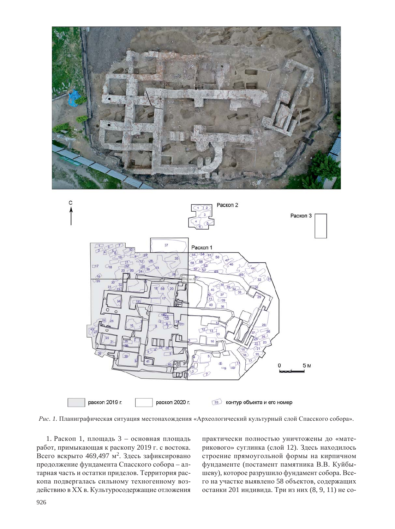



Рис. 1. Планиграфическая ситуация местонахождения «Археологический культурный слой Спасского собора».

1. Раскоп 1, площадь 3 – основная площадь работ, примыкающая к раскопу 2019 г. с востока. Всего вскрыто 469,497 м<sup>2</sup>. Здесь зафиксировано продолжение фундамента Спасского собора – алтарная часть и остатки приделов. Территория раскопа подвергалась сильному техногенному воздействию в XX в. Культуросодержащие отложения

практически полностью уничтожены до «материкового» суглинка (слой 12). Здесь находилось строение прямоугольной формы на кирпичном фундаменте (постамент памятника В.В. Куйбышеву), которое разрушило фундамент собора. Всего на участке выявлено 58 объектов, содержащих останки 201 индивида. Три из них (8, 9, 11) не со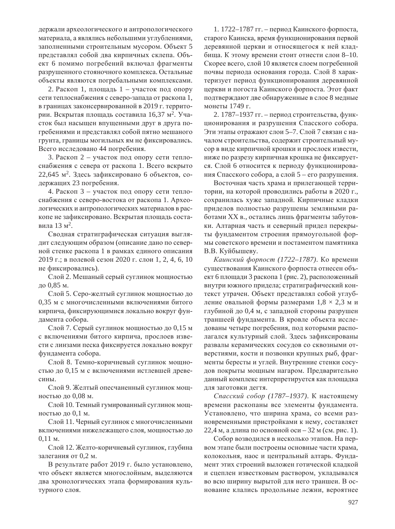держали археологического и антропологического материала, а являлись небольшими углублениями, заполненными строительным мусором. Объект 5 представлял собой два кирпичных склепа. Объект 6 помимо погребений включал фрагменты разрушенного стояночного комплекса. Остальные объекты являются погребальными комплексами.

2. Раскоп 1, площадь 1 – участок под опору сети теплоснабжения с северо-запада от раскопа 1, в границах законсервированной в 2019 г. территории. Вскрытая площадь составила 16,37 м<sup>2</sup>. Участок был насыщен впущенными друг в друга погребениями и представлял собой пятно мешаного грунта, границы могильных ям не фиксировались. Всего исследовано 44 погребения.

3. Раскоп 2 – участок под опору сети теплоснабжения с севера от раскопа 1. Всего вскрыто  $22,645$  м<sup>2</sup>. Здесь зафиксировано 6 объектов, содержащих 23 погребения.

4. Раскоп 3 – участок под опору сети теплоснабжения с северо-востока от раскопа 1. Археологических и антропологических материалов в раскопе не зафиксировано. Вскрытая площадь составила 13  $\mu^2$ .

Сводная стратиграфическая ситуация выглядит следующим образом (описание дано по северной стенке раскопа 1 в рамках единого описания 2019 г.; в полевой сезон 2020 г. слои 1, 2, 4, 6, 10 не фиксировались).

Слой 2. Мешаный серый суглинок мощностью до 0,85 м.

Слой 5. Серо-желтый суглинок мощностью до 0,35 м с многочисленными включениями битого кирпича, фиксирующимися локально вокруг фундамента собора.

Слой 7. Серый суглинок мощностью до 0,15 м с включениями битого кирпича, прослоев извести с линзами песка фиксируется локально вокруг фундамента собора.

Слой 8. Темно-коричневый суглинок мощностью до 0,15 м с включениями истлевшей древесины.

Слой 9. Желтый опесчаненный суглинок мощностью до 0,08 м.

Слой 10. Темный гумированный суглинок мощностью до 0,1 м.

Слой 11. Черный суглинок с многочисленными включениями нижележащего слоя, мощностью до  $0.11 \text{ M}.$ 

Слой 12. Желто-коричневый суглинок, глубина залегания от 0,2 м.

В результате работ 2019 г. было установлено, что объект является многослойным, выделяются два хронологических этапа формирования культурного слоя.

1. 1722–1787 гг. – период Каинского форпоста, старого Каинска, время функционирования первой деревянной церкви и относящегося к ней кладбища. К этому времени стоит отнести слои 8–10. Скорее всего, слой 10 является слоем погребенной почвы периода основания города. Слой 8 характеризует период функционирования деревянной церкви и погоста Каинского форпоста. Этот факт подтверждают две обнаруженные в слое 8 медные монеты 1749 г.

2. 1787–1937 гг. – период строительства, функционирования и разрушения Спасского собора. Эти этапы отражают слои 5–7. Слой 7 связан с началом строительства, содержит строительный мусор в виде кирпичной крошки и прослоек извести, ниже по разрезу кирпичная крошка не фиксируется. Слой 6 относится к периоду функционирования Спасского собора, а слой  $5 -$ его разрушения.

Восточная часть храма и прилегающей территории, на которой проводились работы в 2020 г., сохранилась хуже западной. Кирпичные кладки приделов полностью разрушены земляными работами XX в., остались лишь фрагменты забутовки. Алтарная часть и северный придел перекрыты фундаментом строения прямоугольной формы советского времени и постаментом памятника В.В. Куйбышеву.

 $Ka$ инский форпост (1722–1787). Ко времени существования Каинского форпоста отнесен объект 6 площади 3 раскопа 1 (рис. 2), расположенный внутри южного придела; стратиграфический контекст утрачен. Объект представлял собой углубление овальной формы размерами  $1,8 \times 2,3$  м и глубиной до 0,4 м, с западной стороны разрушен траншеей фундамента. В кровле объекта исследованы четыре погребения, под которыми располагался культурный слой. Здесь зафиксированы развалы керамических сосудов со сквозными отверстиями, кости и позвонки крупных рыб, фрагменты бересты и углей. Внутренние стенки сосудов покрыты мощным нагаром. Предварительно данный комплекс интерпретируется как площадка для заготовки дегтя.

Спасский собор (1787–1937). К настоящему времени раскопаны все элементы фундамента. Установлено, что ширина храма, со всеми разновременными пристройками к нему, составляет 22,4 м, а длина по основной оси – 32 м (см. рис. 1).

Собор возводился в несколько этапов. На первом этапе были построены основные части храма, колокольня, наос и центральный алтарь. Фундамент этих строений выложен готической кладкой и сцеплен известковым раствором, укладывался во всю ширину вырытой для него траншеи. В основание клались продольные лежни, вероятнее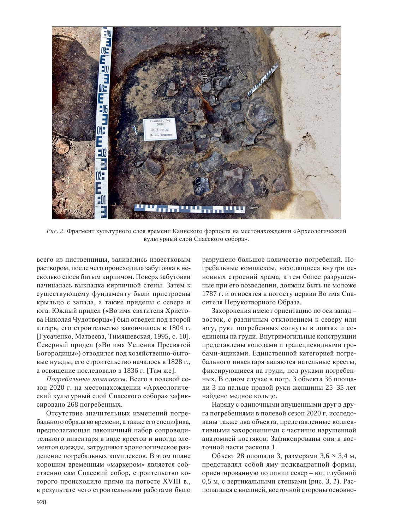

Рис. 2. Фрагмент культурного слоя времени Каинского форпоста на местонахождении «Археологический культурный слой Спасского собора».

всего из лиственницы, заливались известковым раствором, после чего происходила забутовка в несколько слоев битым кирпичом. Поверх забутовки начиналась выкладка кирпичной стены. Затем к существующему фундаменту были пристроены крыльцо с запада, а также приделы с севера и юга. Южный придел («Во имя святителя Христова Николая Чудотворца») был отведен под второй алтарь, его строительство закончилось в 1804 г. [Гусаченко, Матвеева, Тимяшевская, 1995, с. 10]. Северный придел («Во имя Успения Пресвятой Богородицы») отводился под хозяйственно-бытовые нужды, его строительство началось в 1828 г., а освящение последовало в 1836 г. [Там же].

Погребальные комплексы. Всего в полевой сезон 2020 г. на местонахождении «Археологический культурный слой Спасского собора» зафиксировано 268 погребенных.

Отсутствие значительных изменений погребального обряда во времени, а также его специфика, предполагающая лаконичный набор сопроводительного инвентаря в виде крестов и иногда элементов одежды, затрудняют хронологическое разделение погребальных комплексов. В этом плане хорошим временным «маркером» является собственно сам Спасский собор, строительство которого происходило прямо на погосте XVIII в., в результате чего строительными работами было

разрушено большое количество погребений. Погребальные комплексы, находящиеся внутри основных строений храма, а тем более разрушенные при его возведении, должны быть не моложе 1787 г. и относятся к погосту церкви Во имя Спасителя Нерукотворного Образа.

Захоронения имеют ориентацию по оси запад – восток, с различным отклонением к северу или югу, руки погребенных согнуты в локтях и соединены на груди. Внутримогильные конструкции представлены колодами и трапециевидными гробами-ящиками. Единственной категорией погребального инвентаря являются нательные кресты, фиксирующиеся на груди, под руками погребенных. В одном случае в погр. 3 объекта 36 площади 3 на пальце правой руки женщины 25–35 лет найдено медное кольцо.

Наряду с одиночными впущенными друг в друга погребениями в полевой сезон 2020 г. исследованы также два объекта, представленные коллективными захоронениями с частично нарушенной анатомией костяков. Зафиксированы они в восточной части раскопа 1.

Объект 28 площади 3, размерами 3,6  $\times$  3,4 м, представлял собой яму подквадратной формы, ориентированную по линии север – юг, глубиной 0,5 м, с вертикальными стенками (рис. 3, 1). Располагался с внешней, восточной стороны основно-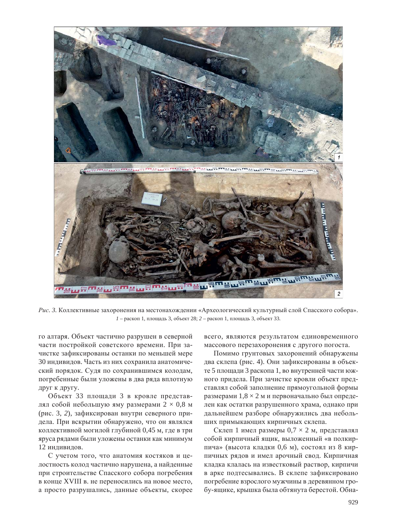

Рис. 3. Коллективные захоронения на местонахождении «Археологический культурный слой Спасского собора».  $1$  – раскоп 1, площадь 3, объект 28;  $2$  – раскоп 1, площадь 3, объект 33.

го алтаря. Объект частично разрушен в северной части постройкой советского времени. При зачистке зафиксированы останки по меньшей мере 30 индивидов. Часть из них сохранила анатомический порядок. Судя по сохранившимся колодам, погребенные были уложены в два ряда вплотную друг к другу.

Объект 33 площади 3 в кровле представлял собой небольшую яму размерами  $2 \times 0.8$  м (рис. 3, 2), зафиксирован внутри северного придела. При вскрытии обнаружено, что он являлся коллективной могилой глубиной 0,45 м, где в три яруса рядами были уложены останки как минимум 12 индивидов.

С учетом того, что анатомия костяков и целостность колод частично нарушена, а найденные при строительстве Спасского собора погребения в конце XVIII в. не переносились на новое место, а просто разрушались, данные объекты, скорее всего, являются результатом единовременного массового перезахоронения с другого погоста.

Помимо грунтовых захоронений обнаружены два склепа (рис. 4). Они зафиксированы в объекте 5 площади 3 раскопа 1, во внутренней части южного придела. При зачистке кровли объект представлял собой заполнение прямоугольной формы размерами  $1,8 \times 2$  м и первоначально был определен как остатки разрушенного храма, однако при дальнейшем разборе обнаружились два небольших примыкающих кирпичных склепа.

Склеп 1 имел размеры 0,7  $\times$  2 м, представлял собой кирпичный ящик, выложенный «в полкирпича» (высота кладки 0,6 м), состоял из 8 кирпичных рядов и имел арочный свод. Кирпичная кладка клалась на известковый раствор, кирпичи в арке подтесывались. В склепе зафиксировано погребение взрослого мужчины в деревянном гробу-ящике, крышка была обтянута берестой. Обна-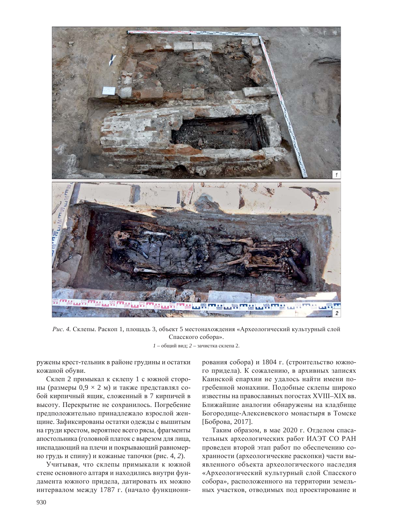

Рис. 4. Склепы. Раскоп 1, площадь 3, объект 5 местонахождения «Археологический культурный слой Спасского собора».

 $1$  – общий вид; 2 – зачистка склепа 2.

ружены крест-тельник в районе грудины и остатки кожаной обуви.

Склеп 2 примыкал к склепу 1 с южной стороны (размеры 0,9  $\times$  2 м) и также представлял собой кирпичный ящик, сложенный в 7 кирпичей в высоту. Перекрытие не сохранилось. Погребение предположительно принадлежало взрослой женщине. Зафиксированы остатки одежды с вышитым на груди крестом, вероятнее всего рясы, фрагменты апостольника (головной платок с вырезом для лица, ниспадающий на плечи и покрывающий равномерно грудь и спину) и кожаные тапочки (рис. 4, 2).

Учитывая, что склепы примыкали к южной стене основного алтаря и находились внутри фундамента южного придела, датировать их можно интервалом между 1787 г. (начало функционирования собора) и 1804 г. (строительство южного придела). К сожалению, в архивных записях Каинской епархии не удалось найти имени погребенной монахини. Полобные склепы широко известны на православных погостах XVIII-XIX вв. Ближайшие аналогии обнаружены на кладбище Богородице-Алексиевского монастыря в Томске [Боброва, 2017].

Таким образом, в мае 2020 г. Отделом спасательных археологических работ ИАЭТ СО РАН проведен второй этап работ по обеспечению сохранности (археологические раскопки) части выявленного объекта археологического наследия «Археологический культурный слой Спасского собора», расположенного на территории земельных участков, отводимых под проектирование и